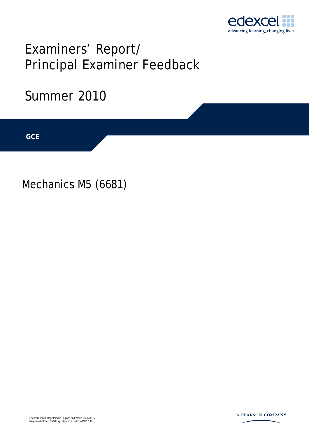

# Examiners' Report/ Principal Examiner Feedback

## Summer 2010

**IGCSE GCE** 

Mechanics M5 (6681)

Edexcel Limited. Registered in England and Wales No. 4496750 Registered Office: One90 High Holborn, London WC1V 7BH

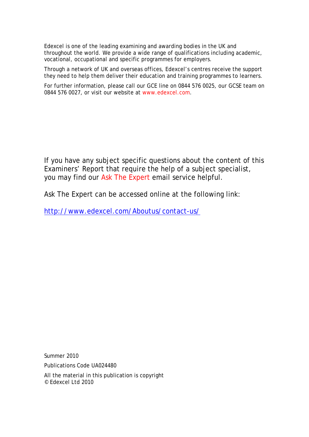Edexcel is one of the leading examining and awarding bodies in the UK and throughout the world. We provide a wide range of qualifications including academic, vocational, occupational and specific programmes for employers.

Through a network of UK and overseas offices, Edexcel's centres receive the support they need to help them deliver their education and training programmes to learners.

For further information, please call our GCE line on 0844 576 0025, our GCSE team on 0844 576 0027, or visit our website at www.edexcel.com.

If you have any subject specific questions about the content of this Examiners' Report that require the help of a subject specialist, you may find our Ask The Expert email service helpful.

Ask The Expert can be accessed online at the following link:

http://www.edexcel.com/Aboutus/contact-us/

Summer 2010

Publications Code UA024480

All the material in this publication is copyright © Edexcel Ltd 2010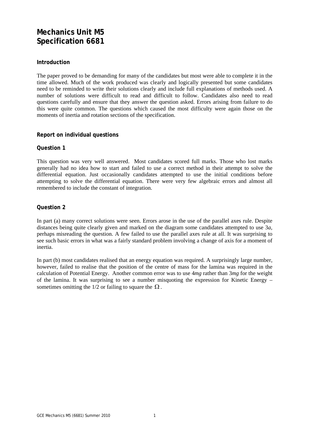### **Mechanics Unit M5 Specification 6681**

#### **Introduction**

The paper proved to be demanding for many of the candidates but most were able to complete it in the time allowed. Much of the work produced was clearly and logically presented but some candidates need to be reminded to write their solutions clearly and include full explanations of methods used. A number of solutions were difficult to read and difficult to follow. Candidates also need to read questions carefully and ensure that they answer the question asked. Errors arising from failure to do this were quite common. The questions which caused the most difficulty were again those on the moments of inertia and rotation sections of the specification.

#### **Report on individual questions**

#### **Question 1**

This question was very well answered. Most candidates scored full marks. Those who lost marks generally had no idea how to start and failed to use a correct method in their attempt to solve the differential equation. Just occasionally candidates attempted to use the initial conditions before attempting to solve the differential equation. There were very few algebraic errors and almost all remembered to include the constant of integration.

#### **Question 2**

In part (a) many correct solutions were seen. Errors arose in the use of the parallel axes rule. Despite distances being quite clearly given and marked on the diagram some candidates attempted to use 3*a*, perhaps misreading the question. A few failed to use the parallel axes rule at all. It was surprising to see such basic errors in what was a fairly standard problem involving a change of axis for a moment of inertia.

In part (b) most candidates realised that an energy equation was required. A surprisingly large number, however, failed to realise that the position of the centre of mass for the lamina was required in the calculation of Potential Energy. Another common error was to use 4*mg* rather than 3*mg* for the weight of the lamina. It was surprising to see a number misquoting the expression for Kinetic Energy – sometimes omitting the 1/2 or failing to square the  $\Omega$ .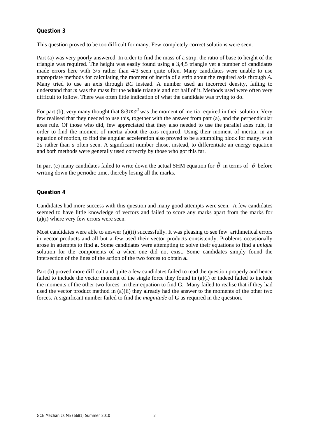#### **Question 3**

This question proved to be too difficult for many. Few completely correct solutions were seen.

Part (a) was very poorly answered. In order to find the mass of a strip, the ratio of base to height of the triangle was required. The height was easily found using a 3,4,5 triangle yet a number of candidates made errors here with 3/5 rather than 4/3 seen quite often. Many candidates were unable to use appropriate methods for calculating the moment of inertia of a strip about the required axis through *A*. Many tried to use an axis through *BC* instead. A number used an incorrect density, failing to understand that *m* was the mass for the **whole** triangle and not half of it. Methods used were often very difficult to follow. There was often little indication of what the candidate was trying to do.

For part (b), very many thought that  $8/3$   $ma^2$  was the moment of inertia required in their solution. Very few realised that they needed to use this, together with the answer from part (a), and the perpendicular axes rule. Of those who did, few appreciated that they also needed to use the parallel axes rule, in order to find the moment of inertia about the axis required. Using their moment of inertia, in an equation of motion, to find the angular acceleration also proved to be a stumbling block for many, with 2*a* rather than *a* often seen. A significant number chose, instead, to differentiate an energy equation and both methods were generally used correctly by those who got this far.

In part (c) many candidates failed to write down the actual SHM equation for  $\ddot{\theta}$  in terms of  $\theta$  before writing down the periodic time, thereby losing all the marks.

#### **Question 4**

Candidates had more success with this question and many good attempts were seen. A few candidates seemed to have little knowledge of vectors and failed to score any marks apart from the marks for (a)(i) where very few errors were seen.

Most candidates were able to answer (a)(ii) successfully. It was pleasing to see few arithmetical errors in vector products and all but a few used their vector products consistently. Problems occasionally arose in attempts to find **a.** Some candidates were attempting to solve their equations to find a *unique* solution for the components of **a** when one did not exist. Some candidates simply found the intersection of the lines of the action of the two forces to obtain **a.** 

Part (b) proved more difficult and quite a few candidates failed to read the question properly and hence failed to include the vector moment of the single force they found in (a)(i) or indeed failed to include the moments of the other two forces in their equation to find **G**. Many failed to realise that if they had used the vector product method in (a)(ii) they already had the answer to the moments of the other two forces. A significant number failed to find the *magnitude* of **G** as required in the question.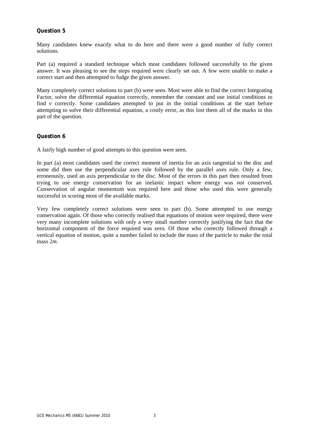#### **Question 5**

Many candidates knew exactly what to do here and there were a good number of fully correct solutions.

Part (a) required a standard technique which most candidates followed successfully to the given answer. It was pleasing to see the steps required were clearly set out. A few were unable to make a correct start and then attempted to fudge the given answer.

Many completely correct solutions to part (b) were seen. Most were able to find the correct Integrating Factor, solve the differential equation correctly, remember the constant and use initial conditions to find  $\nu$  correctly. Some candidates attempted to put in the initial conditions at the start before attempting to solve their differential equation, a costly error, as this lost them all of the marks in this part of the question.

#### **Question 6**

A fairly high number of good attempts to this question were seen.

In part (a) most candidates used the correct moment of inertia for an axis tangential to the disc and some did then use the perpendicular axes rule followed by the parallel axes rule. Only a few, erroneously, used an axis perpendicular to the disc. Most of the errors in this part then resulted from trying to use energy conservation for an inelastic impact where energy was *not* conserved**.**  Conservation of angular momentum was required here and those who used this were generally successful in scoring most of the available marks.

Very few completely correct solutions were seen to part (b). Some attempted to use energy conservation again. Of those who correctly realised that equations of motion were required, there were very many incomplete solutions with only a very small number correctly justifying the fact that the horizontal component of the force required was zero. Of those who correctly followed through a vertical equation of motion, quite a number failed to include the mass of the particle to make the total mass 2*m*.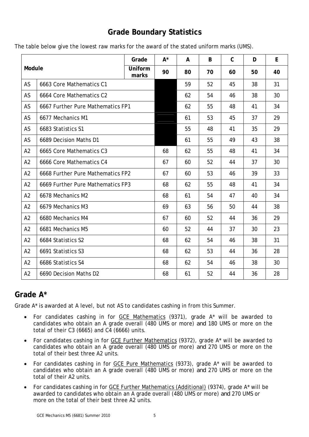## **Grade Boundary Statistics**

|  |  | The table below give the lowest raw marks for the award of the stated uniform marks (UMS). |
|--|--|--------------------------------------------------------------------------------------------|
|--|--|--------------------------------------------------------------------------------------------|

| Module         |                                   | Grade            | $A^*$ | A  | B  | $\mathsf C$ | D  | E  |
|----------------|-----------------------------------|------------------|-------|----|----|-------------|----|----|
|                |                                   | Uniform<br>marks | 90    | 80 | 70 | 60          | 50 | 40 |
| AS             | 6663 Core Mathematics C1          |                  |       | 59 | 52 | 45          | 38 | 31 |
| AS             | 6664 Core Mathematics C2          |                  |       | 62 | 54 | 46          | 38 | 30 |
| AS             | 6667 Further Pure Mathematics FP1 |                  |       | 62 | 55 | 48          | 41 | 34 |
| AS             | 6677 Mechanics M1                 |                  |       | 61 | 53 | 45          | 37 | 29 |
| AS             | 6683 Statistics S1                |                  |       | 55 | 48 | 41          | 35 | 29 |
| AS             | 6689 Decision Maths D1            |                  |       | 61 | 55 | 49          | 43 | 38 |
| A2             | 6665 Core Mathematics C3          |                  | 68    | 62 | 55 | 48          | 41 | 34 |
| A2             | 6666 Core Mathematics C4          |                  | 67    | 60 | 52 | 44          | 37 | 30 |
| A2             | 6668 Further Pure Mathematics FP2 |                  | 67    | 60 | 53 | 46          | 39 | 33 |
| A2             | 6669 Further Pure Mathematics FP3 |                  | 68    | 62 | 55 | 48          | 41 | 34 |
| A2             | 6678 Mechanics M2                 |                  | 68    | 61 | 54 | 47          | 40 | 34 |
| A2             | 6679 Mechanics M3                 |                  | 69    | 63 | 56 | 50          | 44 | 38 |
| A2             | 6680 Mechanics M4                 |                  | 67    | 60 | 52 | 44          | 36 | 29 |
| A2             | 6681 Mechanics M5                 |                  | 60    | 52 | 44 | 37          | 30 | 23 |
| A2             | 6684 Statistics S2                |                  | 68    | 62 | 54 | 46          | 38 | 31 |
| A2             | 6691 Statistics S3                |                  | 68    | 62 | 53 | 44          | 36 | 28 |
| A <sub>2</sub> | 6686 Statistics S4                |                  | 68    | 62 | 54 | 46          | 38 | 30 |
| A2             | 6690 Decision Maths D2            |                  | 68    | 61 | 52 | 44          | 36 | 28 |

## **Grade A\***

Grade A\* is awarded at A level, but not AS to candidates cashing in from this Summer.

- For candidates cashing in for GCE Mathematics (9371), grade A\* will be awarded to candidates who obtain an A grade overall (480 UMS or more) *and* 180 UMS or more on the total of their C3 (6665) and C4 (6666) units.
- For candidates cashing in for GCE Further Mathematics (9372), grade A\* will be awarded to candidates who obtain an A grade overall (480 UMS or more) *and* 270 UMS or more on the total of their best three A2 units.
- For candidates cashing in for GCE Pure Mathematics (9373), grade A\* will be awarded to candidates who obtain an A grade overall (480 UMS or more) *and* 270 UMS or more on the total of their A2 units.
- For candidates cashing in for GCE Further Mathematics (Additional) (9374), grade A\* will be awarded to candidates who obtain an A grade overall (480 UMS or more) *and* 270 UMS or more on the total of their best three A2 units.